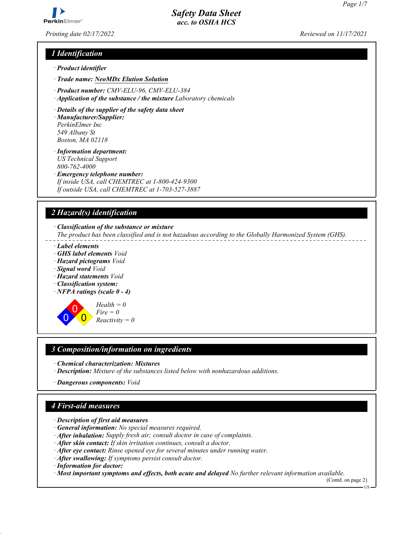

*Printing date 02/17/2022 Reviewed on 11/17/2021*

# *1 Identification*

- *ꞏ Product identifier*
- *ꞏ Trade name: NeoMDx Elution Solution*
- *ꞏ Product number: CMV-ELU-96, CMV-ELU-384*
- *ꞏ Application of the substance / the mixture Laboratory chemicals*
- *ꞏ Details of the supplier of the safety data sheet*
- *ꞏ Manufacturer/Supplier: PerkinElmer Inc 549 Albany St Boston, MA 02118*
- *ꞏ Information department: US Technical Support 800-762-4000*
- *ꞏ Emergency telephone number: If inside USA, call CHEMTREC at 1-800-424-9300*

*If outside USA, call CHEMTREC at 1-703-527-3887*

# *2 Hazard(s) identification*

*ꞏ Classification of the substance or mixture*

*The product has been classified and is not hazadous according to the Globally Harmonized System (GHS).*

- *ꞏ Label elements*
- *ꞏ GHS label elements Void*
- *ꞏ Hazard pictograms Void*
- *ꞏ Signal word Void*
- *ꞏ Hazard statements Void*
- *ꞏ Classification system:*
- *ꞏ NFPA ratings (scale 0 4)*

0 0  $\overline{\mathbf{0}}$ *Health = 0 Fire = 0 Reactivity = 0*

# *3 Composition/information on ingredients*

- *ꞏ Chemical characterization: Mixtures*
- *ꞏ Description: Mixture of the substances listed below with nonhazardous additions.*
- *ꞏ Dangerous components: Void*

# *4 First-aid measures*

- *ꞏ Description of first aid measures*
- *ꞏ General information: No special measures required.*
- *ꞏ After inhalation: Supply fresh air; consult doctor in case of complaints.*
- *ꞏ After skin contact: If skin irritation continues, consult a doctor.*
- *ꞏ After eye contact: Rinse opened eye for several minutes under running water.*
- *ꞏ After swallowing: If symptoms persist consult doctor.*
- *ꞏ Information for doctor:*
- *ꞏ Most important symptoms and effects, both acute and delayed No further relevant information available.*

(Contd. on page 2) US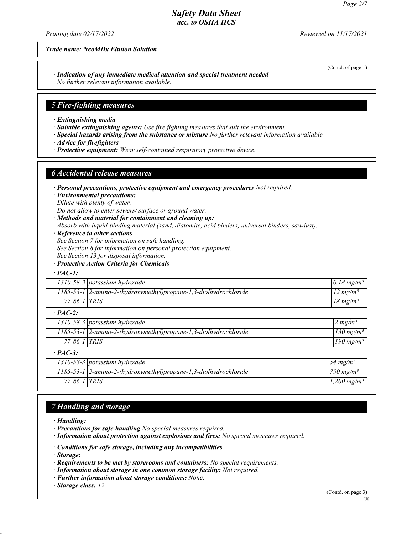*Printing date 02/17/2022 Reviewed on 11/17/2021*

*Trade name: NeoMDx Elution Solution*

*ꞏ Indication of any immediate medical attention and special treatment needed No further relevant information available.*

#### *5 Fire-fighting measures*

- *ꞏ Extinguishing media*
- *ꞏ Suitable extinguishing agents: Use fire fighting measures that suit the environment.*
- *ꞏ Special hazards arising from the substance or mixture No further relevant information available.*
- *ꞏ Advice for firefighters*
- *ꞏ Protective equipment: Wear self-contained respiratory protective device.*

#### *6 Accidental release measures*

- *ꞏ Personal precautions, protective equipment and emergency procedures Not required.*
- *ꞏ Environmental precautions:*
- *Dilute with plenty of water.*
- *Do not allow to enter sewers/ surface or ground water.*
- *ꞏ Methods and material for containment and cleaning up:*
- *Absorb with liquid-binding material (sand, diatomite, acid binders, universal binders, sawdust).*
- *ꞏ Reference to other sections*
- *See Section 7 for information on safe handling.*
- *See Section 8 for information on personal protection equipment.*
- *See Section 13 for disposal information.*
- *ꞏ Protective Action Criteria for Chemicals*

| $\cdot$ PAC-1:     |                                                                    |                           |
|--------------------|--------------------------------------------------------------------|---------------------------|
|                    | $1310-58-3$ potassium hydroxide                                    | $0.18$ mg/m <sup>3</sup>  |
|                    | 1185-53-1 2-amino-2-(hydroxymethyl)propane-1,3-diolhydrochloride   | $12 \text{ mg/m}^3$       |
| $77 - 86 - 1$ TRIS |                                                                    | $18 \text{ mg/m}^3$       |
| $\cdot$ PAC-2:     |                                                                    |                           |
|                    | $1310-58-3$ potassium hydroxide                                    | 2 mg/m <sup>3</sup>       |
|                    | 1185-53-1 2-amino-2-(hydroxymethyl)propane-1,3-diolhydrochloride   | $130$ mg/m <sup>3</sup>   |
| $77 - 86 - 1$ TRIS |                                                                    | 190 mg/m <sup>3</sup>     |
| $\cdot$ PAC-3:     |                                                                    |                           |
|                    | 1310-58-3 potassium hydroxide                                      | 54 mg/m <sup>3</sup>      |
|                    | 1185-53-1   2-amino-2-(hydroxymethyl)propane-1,3-diolhydrochloride | 790 mg/m <sup>3</sup>     |
| $77 - 86 - 1$ TRIS |                                                                    | $1,200$ mg/m <sup>3</sup> |

## *7 Handling and storage*

- *ꞏ Handling:*
- *ꞏ Precautions for safe handling No special measures required.*
- *ꞏ Information about protection against explosions and fires: No special measures required.*
- *ꞏ Conditions for safe storage, including any incompatibilities*
- *ꞏ Storage:*
- *ꞏ Requirements to be met by storerooms and containers: No special requirements.*
- *ꞏ Information about storage in one common storage facility: Not required.*
- *ꞏ Further information about storage conditions: None.*
- *ꞏ Storage class: 12*

(Contd. on page 3)

(Contd. of page 1)

US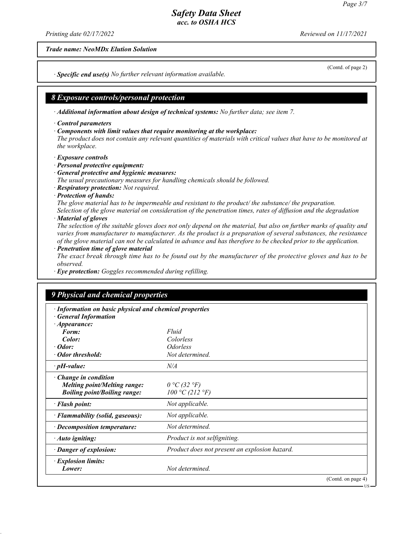*Printing date 02/17/2022 Reviewed on 11/17/2021*

*Trade name: NeoMDx Elution Solution*

*ꞏ Specific end use(s) No further relevant information available.*

## *8 Exposure controls/personal protection*

*ꞏ Additional information about design of technical systems: No further data; see item 7.*

- *ꞏ Control parameters*
- *ꞏ Components with limit values that require monitoring at the workplace:*

*The product does not contain any relevant quantities of materials with critical values that have to be monitored at the workplace.*

- *ꞏ Exposure controls*
- *ꞏ Personal protective equipment:*
- *ꞏ General protective and hygienic measures:*

*The usual precautionary measures for handling chemicals should be followed.*

- *ꞏ Respiratory protection: Not required.*
- *ꞏ Protection of hands:*

*The glove material has to be impermeable and resistant to the product/ the substance/ the preparation.*

*Selection of the glove material on consideration of the penetration times, rates of diffusion and the degradation ꞏ Material of gloves*

*The selection of the suitable gloves does not only depend on the material, but also on further marks of quality and varies from manufacturer to manufacturer. As the product is a preparation of several substances, the resistance of the glove material can not be calculated in advance and has therefore to be checked prior to the application.*

*ꞏ Penetration time of glove material*

*The exact break through time has to be found out by the manufacturer of the protective gloves and has to be observed.*

*ꞏ Eye protection: Goggles recommended during refilling.*

## *9 Physical and chemical properties*

| · Information on basic physical and chemical properties |                                               |  |
|---------------------------------------------------------|-----------------------------------------------|--|
| <b>General Information</b>                              |                                               |  |
| $\cdot$ Appearance:<br>Form:                            | Fluid                                         |  |
| Color:                                                  | Colorless                                     |  |
| $\cdot$ Odor:                                           | <i>Odorless</i>                               |  |
| · Odor threshold:                                       | Not determined.                               |  |
| $\cdot$ pH-value:                                       | N/A                                           |  |
| $\cdot$ Change in condition                             |                                               |  |
| <b>Melting point/Melting range:</b>                     | $0 °C$ (32 °F)                                |  |
| <b>Boiling point/Boiling range:</b>                     | 100 °C (212 °F)                               |  |
| · Flash point:                                          | Not applicable.                               |  |
| · Flammability (solid, gaseous):                        | Not applicable.                               |  |
| $\cdot$ Decomposition temperature:                      | Not determined.                               |  |
| $\cdot$ Auto igniting:                                  | Product is not selfigniting.                  |  |
| · Danger of explosion:                                  | Product does not present an explosion hazard. |  |
| · Explosion limits:                                     |                                               |  |
| Lower:                                                  | Not determined.                               |  |
|                                                         | (Contd. on page 4)                            |  |

(Contd. of page 2)

US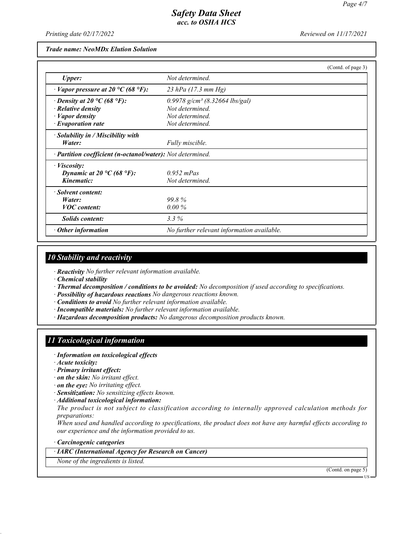*Printing date 02/17/2022 Reviewed on 11/17/2021*

*Trade name: NeoMDx Elution Solution*

|                                                            |                                              | (Contd. of page 3) |
|------------------------------------------------------------|----------------------------------------------|--------------------|
| Upper:                                                     | Not determined.                              |                    |
| $\cdot$ Vapor pressure at 20 °C (68 °F):                   | 23 hPa $(17.3 \text{ mm Hg})$                |                    |
| $\cdot$ Density at 20 °C (68 °F):                          | $0.9978$ g/cm <sup>3</sup> (8.32664 lbs/gal) |                    |
| $\cdot$ Relative density                                   | Not determined.                              |                    |
| · Vapor density                                            | Not determined.                              |                    |
| $\cdot$ Evaporation rate                                   | Not determined.                              |                    |
| $\cdot$ Solubility in / Miscibility with                   |                                              |                    |
| Water:                                                     | Fully miscible.                              |                    |
| · Partition coefficient (n-octanol/water): Not determined. |                                              |                    |
| · <i>Viscosity</i> :                                       |                                              |                    |
| Dynamic at 20 $\rm{^{\circ}C}$ (68 $\rm{^{\circ}F}$ ):     | $0.952$ mPas                                 |                    |
| Kinematic:                                                 | Not determined.                              |                    |
| · Solvent content:                                         |                                              |                    |
| Water:                                                     | 99.8%                                        |                    |
| <b>VOC</b> content:                                        | $0.00\%$                                     |                    |
| <b>Solids content:</b>                                     | $3.3\%$                                      |                    |
| <b>Other information</b>                                   | No further relevant information available.   |                    |

## *10 Stability and reactivity*

*ꞏ Reactivity No further relevant information available.*

*ꞏ Chemical stability*

- *ꞏ Thermal decomposition / conditions to be avoided: No decomposition if used according to specifications.*
- *ꞏ Possibility of hazardous reactions No dangerous reactions known.*
- *ꞏ Conditions to avoid No further relevant information available.*
- *ꞏ Incompatible materials: No further relevant information available.*
- *ꞏ Hazardous decomposition products: No dangerous decomposition products known.*

# *11 Toxicological information*

- *ꞏ Information on toxicological effects*
- *ꞏ Acute toxicity:*
- *ꞏ Primary irritant effect:*
- *ꞏ on the skin: No irritant effect.*
- *ꞏ on the eye: No irritating effect.*
- *ꞏ Sensitization: No sensitizing effects known.*
- *ꞏ Additional toxicological information:*

*The product is not subject to classification according to internally approved calculation methods for preparations:*

*When used and handled according to specifications, the product does not have any harmful effects according to our experience and the information provided to us.*

*ꞏ Carcinogenic categories*

*ꞏ IARC (International Agency for Research on Cancer)*

*None of the ingredients is listed.*

(Contd. on page 5)

US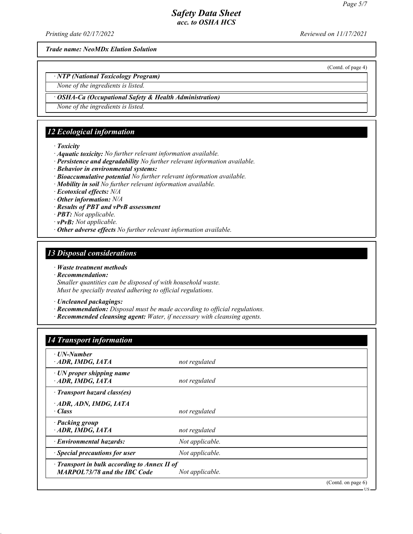*Printing date 02/17/2022 Reviewed on 11/17/2021*

*Trade name: NeoMDx Elution Solution*

(Contd. of page 4)

*ꞏ NTP (National Toxicology Program)*

*None of the ingredients is listed.*

*ꞏ OSHA-Ca (Occupational Safety & Health Administration)*

*None of the ingredients is listed.*

## *12 Ecological information*

*ꞏ Toxicity*

- *ꞏ Aquatic toxicity: No further relevant information available.*
- *ꞏ Persistence and degradability No further relevant information available.*
- *ꞏ Behavior in environmental systems:*
- *ꞏ Bioaccumulative potential No further relevant information available.*
- *ꞏ Mobility in soil No further relevant information available.*

*ꞏ Ecotoxical effects: N/A*

- *ꞏ Other information: N/A*
- *ꞏ Results of PBT and vPvB assessment*
- *ꞏ PBT: Not applicable.*
- *ꞏ vPvB: Not applicable.*
- *ꞏ Other adverse effects No further relevant information available.*

## *13 Disposal considerations*

- *ꞏ Waste treatment methods*
- *ꞏ Recommendation:*

*Smaller quantities can be disposed of with household waste. Must be specially treated adhering to official regulations.*

*ꞏ Uncleaned packagings:*

- *ꞏ Recommendation: Disposal must be made according to official regulations.*
- *ꞏ Recommended cleansing agent: Water, if necessary with cleansing agents.*

## *14 Transport information*

| ⋅ UN-Number                                                                               |                 |                       |
|-------------------------------------------------------------------------------------------|-----------------|-----------------------|
| ADR, IMDG, IATA                                                                           | not regulated   |                       |
| $\cdot$ UN proper shipping name<br>ADR, IMDG, IATA                                        | not regulated   |                       |
| · Transport hazard class(es)                                                              |                 |                       |
| ADR, ADN, IMDG, IATA<br>· Class                                                           | not regulated   |                       |
| · Packing group<br>ADR, IMDG, IATA                                                        | not regulated   |                       |
| $\cdot$ Environmental hazards:                                                            | Not applicable. |                       |
| $\cdot$ Special precautions for user                                                      | Not applicable. |                       |
| $\cdot$ Transport in bulk according to Annex II of<br><b>MARPOL73/78 and the IBC Code</b> | Not applicable. |                       |
|                                                                                           |                 | (Contd. on page $6$ ) |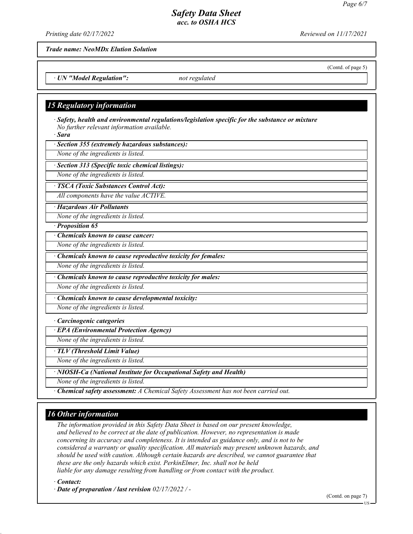*Printing date 02/17/2022 Reviewed on 11/17/2021*

*Trade name: NeoMDx Elution Solution*

*ꞏ UN "Model Regulation": not regulated*

#### *15 Regulatory information*

*ꞏ Safety, health and environmental regulations/legislation specific for the substance or mixture No further relevant information available.*

*ꞏ Sara*

*ꞏ Section 355 (extremely hazardous substances):*

*None of the ingredients is listed.*

*ꞏ Section 313 (Specific toxic chemical listings):*

*None of the ingredients is listed.*

*ꞏ TSCA (Toxic Substances Control Act):*

*All components have the value ACTIVE.*

*ꞏ Hazardous Air Pollutants*

*None of the ingredients is listed.*

*ꞏ Proposition 65*

*ꞏ Chemicals known to cause cancer:*

*None of the ingredients is listed.*

*ꞏ Chemicals known to cause reproductive toxicity for females:*

*None of the ingredients is listed.*

*ꞏ Chemicals known to cause reproductive toxicity for males:*

*None of the ingredients is listed.*

*ꞏ Chemicals known to cause developmental toxicity: None of the ingredients is listed.*

*ꞏ Carcinogenic categories*

*ꞏ EPA (Environmental Protection Agency)*

*None of the ingredients is listed.*

*ꞏ TLV (Threshold Limit Value)*

*None of the ingredients is listed.*

*ꞏ NIOSH-Ca (National Institute for Occupational Safety and Health)*

*None of the ingredients is listed.*

*ꞏ Chemical safety assessment: A Chemical Safety Assessment has not been carried out.*

## *16 Other information*

*The information provided in this Safety Data Sheet is based on our present knowledge, and believed to be correct at the date of publication. However, no representation is made concerning its accuracy and completeness. It is intended as guidance only, and is not to be considered a warranty or quality specification. All materials may present unknown hazards, and should be used with caution. Although certain hazards are described, we cannot guarantee that these are the only hazards which exist. PerkinElmer, Inc. shall not be held liable for any damage resulting from handling or from contact with the product.*

*ꞏ Contact:*

*ꞏ Date of preparation / last revision 02/17/2022 / -*

(Contd. on page 7)

(Contd. of page 5)

US